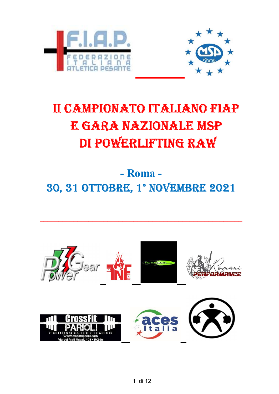



## II CAMPIONATO ITALIANO FIAP e Gara nazIonaLe mSp dI powerLIFtInG raw

- Roma - 30, 31 ottobre, 1° novembre 2021

 $\_$  , and the set of the set of the set of the set of the set of the set of the set of the set of the set of the set of the set of the set of the set of the set of the set of the set of the set of the set of the set of th

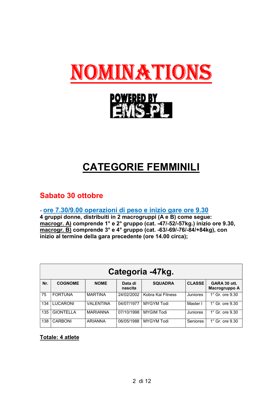



## CATEGORIE FEMMINILI

### Sabato 30 ottobre

- ore 7.30/9.00 operazioni di peso e inizio gare ore 9.30

4 gruppi donne, distribuiti in 2 macrogruppi (A e B) come segue: macrogr. A) comprende 1° e 2° gruppo (cat. -47/-52/-57kg.) inizio ore 9.30, macrogr. B) comprende 3° e 4° gruppo (cat. -63/-69/-76/-84/+84kg), con inizio al termine della gara precedente (ore 14.00 circa);

|     | Categoria -47kg. |                 |                    |                   |                 |                               |  |  |  |
|-----|------------------|-----------------|--------------------|-------------------|-----------------|-------------------------------|--|--|--|
| Nr. | <b>COGNOME</b>   | <b>NOME</b>     | Data di<br>nascita | <b>SQUADRA</b>    | <b>CLASSE</b>   | GARA 30 ott.<br>Macrogruppo A |  |  |  |
| 75  | <b>FORTUNA</b>   | <b>MARTINA</b>  | 24/02/2002         | Kobra Kai Fitness | Juniores        | $1^\circ$ Gr. ore $9.30$      |  |  |  |
| 134 | LUCARONI         | VALENTINA       | 04/07/1977         | <b>MYGYM Todi</b> | Master I        | $1^\circ$ Gr. ore $9.30$      |  |  |  |
| 135 | <b>GIONTELLA</b> | <b>MARIANNA</b> | 07/10/1998         | <b>MYGIM Todi</b> | Juniores        | $1^\circ$ Gr. ore $9.30$      |  |  |  |
| 138 | <b>CARBONI</b>   | <b>ARIANNA</b>  | 06/05/1988         | <b>MYGYM Todi</b> | <b>Seniores</b> | $1^\circ$ Gr. ore $9.30$      |  |  |  |

#### Totale: 4 atlete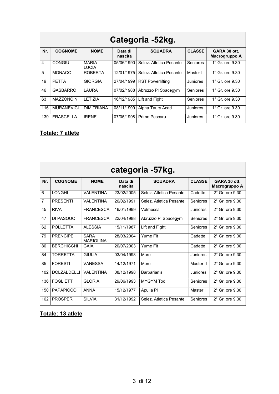|     | Categoria -52kg.  |                       |                    |                         |                 |                               |  |  |  |  |
|-----|-------------------|-----------------------|--------------------|-------------------------|-----------------|-------------------------------|--|--|--|--|
| Nr. | <b>COGNOME</b>    | <b>NOME</b>           | Data di<br>nascita | <b>SQUADRA</b>          | <b>CLASSE</b>   | GARA 30 ott.<br>Macrogruppo A |  |  |  |  |
| 4   | <b>CONGIU</b>     | <b>MARIA</b><br>LUCIA | 05/06/1990         | Selez, Atletica Pesante | Seniores        | $1^\circ$ Gr. ore $9.30$      |  |  |  |  |
| 5   | <b>MONACO</b>     | <b>ROBERTA</b>        | 12/01/1975         | Selez. Atletica Pesante | Master I        | $1^\circ$ Gr. ore $9.30$      |  |  |  |  |
| 19  | <b>PETTA</b>      | <b>GIORGIA</b>        | 27/04/1999         | <b>RST Powerlifting</b> | Juniores        | 1° Gr. ore 9.30               |  |  |  |  |
| 46  | <b>GASBARRO</b>   | LAURA                 | 07/02/1988         | Abruzzo PI Spacegym     | <b>Seniores</b> | $1^\circ$ Gr. ore $9.30$      |  |  |  |  |
| 63  | <b>MAZZONCINI</b> | I FTIZIA              | 16/12/1985         | Lift and Fight          | Seniores        | $1^\circ$ Gr. ore $9.30$      |  |  |  |  |
| 116 | <b>MURANEVICI</b> | <b>DIMITRIANA</b>     | 08/11/1999         | Alpha Taury Acad.       | Juniores        | 1° Gr. ore 9.30               |  |  |  |  |
| 139 | <b>FRASCELLA</b>  | <b>IRENE</b>          | 07/05/1998         | Prime Pescara           | Juniores        | $1^\circ$ Gr. ore $9.30$      |  |  |  |  |

#### Totale: 7 atlete

|     | categoria -57kg.   |                                 |                    |                         |                 |                               |  |  |  |  |
|-----|--------------------|---------------------------------|--------------------|-------------------------|-----------------|-------------------------------|--|--|--|--|
| Nr. | <b>COGNOME</b>     | <b>NOME</b>                     | Data di<br>nascita | <b>SQUADRA</b>          | <b>CLASSE</b>   | GARA 30 ott.<br>Macrogruppo A |  |  |  |  |
| 6   | LONGHI             | <b>VALENTINA</b>                | 23/02/2005         | Selez, Atletica Pesante | Cadette         | $2^\circ$ Gr. ore $9.30$      |  |  |  |  |
| 7   | <b>PRESENTI</b>    | <b>VALENTINA</b>                | 26/02/1991         | Selez, Atletica Pesante | <b>Seniores</b> | $2^{\circ}$ Gr. ore $9.30$    |  |  |  |  |
| 45  | <b>RIVA</b>        | <b>FRANCESCA</b>                | 16/01/1999         | Valmessa                | Juniores        | $2^{\circ}$ Gr. ore 9.30      |  |  |  |  |
| 47  | DI PASQUO          | <b>FRANCESCA</b>                | 22/04/1988         | Abruzzo PI Spacegym     | Seniores        | $2^{\circ}$ Gr. ore $9.30$    |  |  |  |  |
| 62  | POLL FTTA          | <b>ALESSIA</b>                  | 15/11/1987         | Lift and Fight          | <b>Seniores</b> | $2^{\circ}$ Gr. ore 9.30      |  |  |  |  |
| 79  | <b>PRENCIPE</b>    | <b>SARA</b><br><b>MARIOLINA</b> | 28/03/2004         | Yume Fit                | Cadette         | $2^\circ$ Gr. ore $9.30$      |  |  |  |  |
| 80  | <b>BERCHICCHI</b>  | GAIA                            | 20/07/2003         | Yume Fit                | Cadette         | $2^\circ$ Gr. ore $9.30$      |  |  |  |  |
| 84  | <b>TORRETTA</b>    | <b>GIULIA</b>                   | 03/04/1998         | More                    | Juniores        | $2^{\circ}$ Gr. ore 9.30      |  |  |  |  |
| 85  | <b>FORESTI</b>     | <b>VANESSA</b>                  | 14/12/1971         | More                    | Master II       | $2^{\circ}$ Gr. ore $9.30$    |  |  |  |  |
| 102 | <b>DOLZALDELLI</b> | <b>VALENTINA</b>                | 08/12/1998         | Barbarian's             | Juniores        | $2^{\circ}$ Gr. ore $9.30$    |  |  |  |  |
| 136 | <b>FOGLIETTI</b>   | <b>GLORIA</b>                   | 29/06/1993         | <b>MYGYM Todi</b>       | <b>Seniores</b> | $2^{\circ}$ Gr. ore $9.30$    |  |  |  |  |
| 150 | <b>PAPAPICCO</b>   | <b>ANNA</b>                     | 15/12/1977         | Apulia Pl               | Master I        | $2^{\circ}$ Gr. ore $9.30$    |  |  |  |  |
| 162 | <b>PROSPERI</b>    | <b>SII VIA</b>                  | 31/12/1992         | Selez, Atletica Pesante | Seniores        | $2^{\circ}$ Gr. ore 9.30      |  |  |  |  |

#### Totale: 13 atlete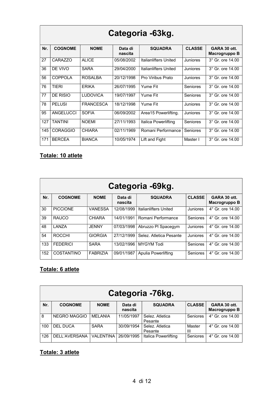|     | Categoria -63kg. |                  |                    |                       |                 |                               |  |  |  |  |
|-----|------------------|------------------|--------------------|-----------------------|-----------------|-------------------------------|--|--|--|--|
| Nr. | <b>COGNOME</b>   | <b>NOME</b>      | Data di<br>nascita | <b>SQUADRA</b>        | <b>CLASSE</b>   | GARA 30 ott.<br>Macrogruppo B |  |  |  |  |
| 27  | CARAZZO          | <b>ALICE</b>     | 05/08/2002         | Italianlifters United | Juniores        | 3° Gr. ore 14.00              |  |  |  |  |
| 36  | DE VIVO          | <b>SARA</b>      | 29/04/2000         | Italianlifters United | Juniores        | 3° Gr. ore 14.00              |  |  |  |  |
| 56  | <b>COPPOLA</b>   | <b>ROSALBA</b>   | 20/12/1998         | Pro Viribus Prato     | Juniores        | 3° Gr. ore 14.00              |  |  |  |  |
| 76  | TIERI            | <b>ERIKA</b>     | 26/07/1995         | Yume Fit              | <b>Seniores</b> | 3° Gr. ore 14.00              |  |  |  |  |
| 77  | DE RISIO         | <b>LUDOVICA</b>  | 19/07/1997         | Yume Fit              | <b>Seniores</b> | $3^\circ$ Gr. ore $14.00$     |  |  |  |  |
| 78  | <b>PELUSI</b>    | <b>FRANCESCA</b> | 18/12/1998         | <b>Yume Fit</b>       | Juniores        | 3° Gr. ore 14.00              |  |  |  |  |
| 95  | ANGELUCCI        | <b>SOFIA</b>     | 06/09/2002         | Area15 Powerlifting.  | Juniores        | 3° Gr. ore 14.00              |  |  |  |  |
| 127 | <b>TANTINI</b>   | <b>NOEMI</b>     | 27/11/1993         | Italica Powerlifting  | Seniores        | 3° Gr. ore 14.00              |  |  |  |  |
| 145 | <b>CORAGGIO</b>  | <b>CHIARA</b>    | 02/11/1969         | Romani Performance    | <b>Seniores</b> | 3° Gr. ore 14.00              |  |  |  |  |
| 171 | <b>BERCEA</b>    | <b>BIANCA</b>    | 10/05/1974         | Lift and Fight        | Master I        | 3° Gr. ore 14.00              |  |  |  |  |

#### Totale: 10 atlete

|     | Categoria -69kg.  |                 |                    |                              |                 |                               |  |  |  |
|-----|-------------------|-----------------|--------------------|------------------------------|-----------------|-------------------------------|--|--|--|
| Nr. | <b>COGNOME</b>    | <b>NOME</b>     | Data di<br>nascita | <b>SQUADRA</b>               | <b>CLASSE</b>   | GARA 30 ott.<br>Macrogruppo B |  |  |  |
| 30  | <b>PICCIONE</b>   | <b>VANESSA</b>  | 12/08/1999         | <b>Italianlifters United</b> | Juniores        | 4° Gr. ore 14.00              |  |  |  |
| 39  | RAUCO             | <b>CHIARA</b>   | 14/01/1991         | Romani Performance           | Seniores        | 4° Gr. ore 14.00              |  |  |  |
| 48  | I ANZA            | <b>JENNY</b>    | 07/03/1998         | Abruzzo PI Spacegym          | Juniores        | 4° Gr. ore 14.00              |  |  |  |
| 54  | <b>ROCCHI</b>     | <b>GIORGIA</b>  | 27/12/1999         | Selez, Atletica Pesante      | Juniores        | 4° Gr. ore 14.00              |  |  |  |
| 133 | <b>FEDERICI</b>   | <b>SARA</b>     | 13/02/1996         | <b>MYGYM</b> Todi            | <b>Seniores</b> | 4° Gr. ore 14.00              |  |  |  |
| 152 | <b>COSTANTINO</b> | <b>FABRIZIA</b> | 09/01/1987         | <b>Apulia Powerlifting</b>   | Seniores        | 4° Gr. ore 14.00              |  |  |  |

#### Totale: 6 atlete

|     | Categoria -76kg.    |                  |                    |                            |               |                               |  |  |  |  |
|-----|---------------------|------------------|--------------------|----------------------------|---------------|-------------------------------|--|--|--|--|
| Nr. | <b>COGNOME</b>      | <b>NOME</b>      | Data di<br>nascita | <b>SQUADRA</b>             | <b>CLASSE</b> | GARA 30 ott.<br>Macrogruppo B |  |  |  |  |
| 8   | <b>NEGRO MAGGIO</b> | <b>MELANIA</b>   | 11/05/1997         | Selez. Atletica<br>Pesante | Seniores      | $4^{\circ}$ Gr. ore 14.00     |  |  |  |  |
| 100 | <b>DEL DUCA</b>     | <b>SARA</b>      | 30/09/1954         | Selez, Atletica<br>Pesante | Master<br>Ш   | $4^{\circ}$ Gr. ore 14.00     |  |  |  |  |
| 126 | DELL'AVERSANA       | <b>VALENTINA</b> | 26/09/1995         | Italica Powerlifting       | Seniores      | $4^{\circ}$ Gr. ore 14.00     |  |  |  |  |

#### Totale: 3 atlete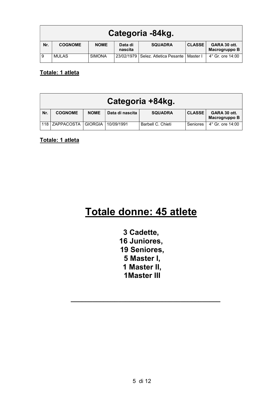|     | Categoria -84kg. |               |                    |                                    |               |                               |  |  |  |
|-----|------------------|---------------|--------------------|------------------------------------|---------------|-------------------------------|--|--|--|
| Nr. | <b>COGNOME</b>   | <b>NOME</b>   | Data di<br>nascita | <b>SQUADRA</b>                     | <b>CLASSE</b> | GARA 30 ott.<br>Macrogruppo B |  |  |  |
| -9  | <b>MULAS</b>     | <b>SIMONA</b> | 23/02/1979         | Selez. Atletica Pesante   Master I |               | $4^{\circ}$ Gr. ore 14:00     |  |  |  |

Totale: 1 atleta

|     | Categoria +84kg. |                |                 |                   |                 |                               |  |  |  |
|-----|------------------|----------------|-----------------|-------------------|-----------------|-------------------------------|--|--|--|
| Nr. | <b>COGNOME</b>   | <b>NOME</b>    | Data di nascita | <b>SQUADRA</b>    | <b>CLASSE</b>   | GARA 30 ott.<br>Macrogruppo B |  |  |  |
|     | 118 ZAPPACOSTA   | <b>GIORGIA</b> | 10/09/1991      | Barbell C. Chieti | <b>Seniores</b> | $4^{\circ}$ Gr. ore 14:00     |  |  |  |

Totale: 1 atleta

## Totale donne: 45 atlete

3 Cadette, 16 Juniores, 19 Seniores, 5 Master I, 1 Master II, 1Master III

 $\mathcal{L}_\mathcal{L} = \{ \mathcal{L}_\mathcal{L} = \{ \mathcal{L}_\mathcal{L} = \{ \mathcal{L}_\mathcal{L} = \{ \mathcal{L}_\mathcal{L} = \{ \mathcal{L}_\mathcal{L} = \{ \mathcal{L}_\mathcal{L} = \{ \mathcal{L}_\mathcal{L} = \{ \mathcal{L}_\mathcal{L} = \{ \mathcal{L}_\mathcal{L} = \{ \mathcal{L}_\mathcal{L} = \{ \mathcal{L}_\mathcal{L} = \{ \mathcal{L}_\mathcal{L} = \{ \mathcal{L}_\mathcal{L} = \{ \mathcal{L}_\mathcal{$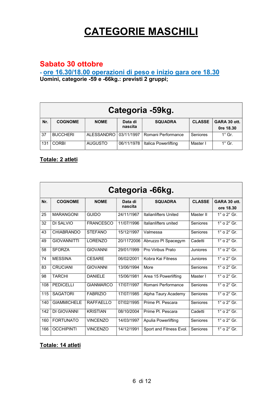## CATEGORIE MASCHILI

#### Sabato 30 ottobre

- ore 16.30/18.00 operazioni di peso e inizio gara ore 18.30 Uomini, categorie -59 e -66kg.: previsti 2 gruppi;

|     | Categoria -59kg. |                   |                    |                      |               |                           |  |  |  |
|-----|------------------|-------------------|--------------------|----------------------|---------------|---------------------------|--|--|--|
| Nr. | <b>COGNOME</b>   | <b>NOME</b>       | Data di<br>nascita | <b>SQUADRA</b>       | <b>CLASSE</b> | GARA 30 ott.<br>Ore 18.30 |  |  |  |
| 37  | <b>BUCCHERI</b>  | <b>ALESSANDRO</b> | 03/11/1997         | Romani Performance   | Seniores      | $1^\circ$ Gr.             |  |  |  |
| 131 | <b>CORBI</b>     | <b>AUGUSTO</b>    | 06/11/1978         | Italica Powerlifting | Master I      | $1^\circ$ Gr.             |  |  |  |

#### Totale: 2 atleti

|     | Categoria -66kg.   |                  |                    |                         |                 |                           |  |  |  |  |
|-----|--------------------|------------------|--------------------|-------------------------|-----------------|---------------------------|--|--|--|--|
| Nr. | <b>COGNOME</b>     | <b>NOME</b>      | Data di<br>nascita | <b>SQUADRA</b>          | <b>CLASSE</b>   | GARA 30 ott.<br>ore 18.30 |  |  |  |  |
| 25  | <b>MARANGONI</b>   | <b>GUIDO</b>     | 24/11/1967         | Italianlifters United   | Master II       | $1^\circ$ o $2^\circ$ Gr. |  |  |  |  |
| 32  | DI SAI VIO         | <b>FRANCESCO</b> | 11/07/1996         | Italianlifters united   | Seniores        | $1^\circ$ o $2^\circ$ Gr. |  |  |  |  |
| 43  | <b>CHIABRANDO</b>  | <b>STEFANO</b>   | 15/12/1997         | Valmessa                | Seniores        | $1^\circ$ o $2^\circ$ Gr. |  |  |  |  |
| 49  | <b>GIOVANNITTI</b> | <b>LORENZO</b>   | 20/1172006         | Abruzzo PI Spacegym     | Cadetti         | $1^\circ$ o $2^\circ$ Gr. |  |  |  |  |
| 58  | <b>SFORZA</b>      | <b>GIOVANNI</b>  | 29/01/1999         | Pro Viribus Prato       | Juniores        | $1^\circ$ o $2^\circ$ Gr. |  |  |  |  |
| 74  | <b>MESSINA</b>     | <b>CESARE</b>    | 06/02/2001         | Kobra Kai Fitness       | Juniores        | $1^\circ$ o $2^\circ$ Gr. |  |  |  |  |
| 83  | CRUCIANI           | <b>GIOVANNI</b>  | 13/06/1994         | More                    | Seniores        | $1^\circ$ o $2^\circ$ Gr. |  |  |  |  |
| 98  | <b>TARCHI</b>      | <b>DANIELE</b>   | 15/06/1981         | Area 15 Powerlifting    | Master I        | $1^\circ$ o $2^\circ$ Gr. |  |  |  |  |
| 108 | <b>PEDICELLI</b>   | <b>GIANMARCO</b> | 17/07/1997         | Romani Performance      | Seniores        | $1^\circ$ o $2^\circ$ Gr. |  |  |  |  |
| 115 | <b>SAGATORI</b>    | <b>FABRIZIO</b>  | 17/07/1985         | Alpha Taury Academy     | <b>Seniores</b> | $1^\circ$ o $2^\circ$ Gr. |  |  |  |  |
| 140 | <b>GIAMMICHELE</b> | RAFFAFILO        | 07/02/1995         | Prime PL Pescara        | Seniores        | $1^\circ$ o $2^\circ$ Gr. |  |  |  |  |
| 142 | DI GIOVANNI        | <b>KRISTIAN</b>  | 08/10/2004         | Prime PI. Pescara       | Cadetti         | $1^\circ$ o $2^\circ$ Gr. |  |  |  |  |
| 160 | <b>FORTUNATO</b>   | <b>VINCENZO</b>  | 14/03/1997         | Apulia Powerlifting     | Seniores        | $1^\circ$ o $2^\circ$ Gr. |  |  |  |  |
| 166 | <b>OCCHIPINTI</b>  | <b>VINCENZO</b>  | 14/12/1991         | Sport and Fitness Evol. | Seniores        | $1^\circ$ o $2^\circ$ Gr. |  |  |  |  |

#### Totale: 14 atleti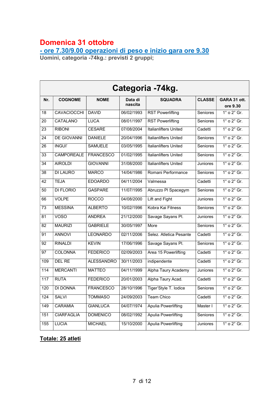### Domenica 31 ottobre

- ore 7.30/9.00 operazioni di peso e inizio gara ore 9.30

Uomini, categoria -74kg.: previsti 2 gruppi;

|                 | Categoria -74kg.   |                   |                    |                              |               |                           |  |  |  |  |
|-----------------|--------------------|-------------------|--------------------|------------------------------|---------------|---------------------------|--|--|--|--|
| Nr.             | <b>COGNOME</b>     | <b>NOME</b>       | Data di<br>nascita | <b>SQUADRA</b>               | <b>CLASSE</b> | GARA 31 ott.<br>ore 9.30  |  |  |  |  |
| 18              | <b>CAVACIOCCHI</b> | <b>DAVID</b>      | 06/02/1993         | <b>RST Powerlifting</b>      | Seniores      | $1^\circ$ o $2^\circ$ Gr. |  |  |  |  |
| $\overline{20}$ | <b>CATALANO</b>    | <b>LUCA</b>       | 08/01/1997         | <b>RST Powerlifting</b>      | Seniores      | $1^\circ$ o $2^\circ$ Gr. |  |  |  |  |
| 23              | <b>RIBONI</b>      | <b>CESARE</b>     | 07/08/2004         | <b>Italianlifters United</b> | Cadetti       | $1^\circ$ o $2^\circ$ Gr. |  |  |  |  |
| $\overline{24}$ | DE GIOVANNI        | <b>DANIELE</b>    | 20/04/1996         | Italianlifters United        | Seniores      | $1^\circ$ o $2^\circ$ Gr. |  |  |  |  |
| 26              | <b>INGUI'</b>      | <b>SAMUELE</b>    | 03/05/1995         | <b>Italianlifters United</b> | Seniores      | $1^\circ$ o $2^\circ$ Gr. |  |  |  |  |
| 33              | <b>CAMPOREALE</b>  | <b>FRANCESCO</b>  | 01/02/1995         | <b>Italianlifters United</b> | Seniores      | $1^\circ$ o $2^\circ$ Gr. |  |  |  |  |
| 34              | <b>AIROLDI</b>     | <b>GIOVANNI</b>   | 31/08/2000         | <b>Italianlifters United</b> | Juniores      | $1^\circ$ o $2^\circ$ Gr. |  |  |  |  |
| 38              | <b>DI LAURO</b>    | <b>MARCO</b>      | 14/04/1986         | Romani Performance           | Seniores      | $1^\circ$ o $2^\circ$ Gr. |  |  |  |  |
| 42              | <b>TEJA</b>        | <b>EDOARDO</b>    | 04/11/2004         | Valmessa                     | Cadetti       | $1^\circ$ o $2^\circ$ Gr. |  |  |  |  |
| 50              | <b>DI FLORIO</b>   | <b>GASPARE</b>    | 11/07/1995         | Abruzzo PI Spacegym          | Seniores      | $1^\circ$ o $2^\circ$ Gr. |  |  |  |  |
| 66              | <b>VOLPE</b>       | <b>ROCCO</b>      | 04/08/2000         | Lift and Fight               | Juniores      | $1^\circ$ o $2^\circ$ Gr. |  |  |  |  |
| 73              | <b>MESSINA</b>     | <b>ALBERTO</b>    | 10/02/1996         | Kobra Kai Fitness            | Seniores      | $1^\circ$ o $2^\circ$ Gr. |  |  |  |  |
| 81              | <b>VOSO</b>        | <b>ANDREA</b>     | 21/12/2000         | Savage Sayans Pl.            | Juniores      | $1^\circ$ o $2^\circ$ Gr. |  |  |  |  |
| 82              | <b>MAURIZI</b>     | <b>GABRIELE</b>   | 30/05/1997         | More                         | Seniores      | $1^\circ$ o $2^\circ$ Gr. |  |  |  |  |
| 91              | <b>ANNOVI</b>      | <b>LEONARDO</b>   | 02/11/2006         | Selez. Atletica Pesante      | Cadetti       | $1^\circ$ o $2^\circ$ Gr. |  |  |  |  |
| 92              | <b>RINALDI</b>     | <b>KEVIN</b>      | 17/06/1996         | Savage Sayans Pl.            | Seniores      | $1^\circ$ o $2^\circ$ Gr. |  |  |  |  |
| 97              | <b>COLONNA</b>     | <b>FEDERICO</b>   | 02/09/2003         | Area 15 Powerlifting         | Cadetti       | $1^\circ$ o $2^\circ$ Gr. |  |  |  |  |
| 109             | DEL RE             | <b>ALESSANDRO</b> | 30/11/2003         | indipendente                 | Cadetti       | $1^\circ$ o $2^\circ$ Gr. |  |  |  |  |
| 114             | <b>MERCANTI</b>    | <b>MATTEO</b>     | 04/11/1999         | Alpha Taury Academy          | Juniores      | $1^\circ$ o $2^\circ$ Gr. |  |  |  |  |
| 117             | <b>RUTA</b>        | <b>FEDERICO</b>   | 20/01/2003         | Alpha Taury Acad.            | Cadetti       | $1^\circ$ o $2^\circ$ Gr. |  |  |  |  |
| 120             | <b>DI DONNA</b>    | <b>FRANCESCO</b>  | 28/10/1996         | Tiger'Style T. Iodice        | Seniores      | $1^\circ$ o $2^\circ$ Gr. |  |  |  |  |
| 124             | SALVI              | <b>TOMMASO</b>    | 24/09/2003         | Team Chico                   | Cadetti       | $1^\circ$ o $2^\circ$ Gr. |  |  |  |  |
| 149             | CARAMIA            | <b>GIANLUCA</b>   | 04/07/1974         | <b>Apulia Powerlifting</b>   | Master I      | $1^\circ$ o $2^\circ$ Gr. |  |  |  |  |
| 151             | <b>CIARFAGLIA</b>  | <b>DOMENICO</b>   | 08/02/1992         | <b>Apulia Powerlifting</b>   | Seniores      | $1^\circ$ o $2^\circ$ Gr. |  |  |  |  |
| 155             | <b>LUCIA</b>       | <b>MICHAEL</b>    | 15/10/2000         | <b>Apulia Powerlifting</b>   | Juniores      | $1^\circ$ o $2^\circ$ Gr. |  |  |  |  |

#### Totale: 25 atleti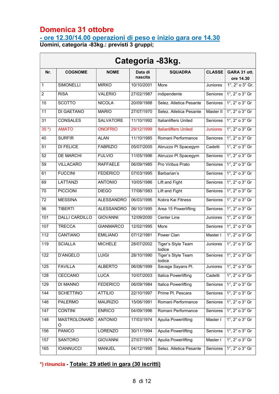### Domenica 31 ottobre

 $\overline{a}$ 

#### - ore 12.30/14.00 operazioni di peso e inizio gara ore 14.30

Uomini, categoria -83kg.: previsti 3 gruppi;

|                  | Categoria -83kg.      |                   |                    |                              |                 |                                       |  |  |  |  |
|------------------|-----------------------|-------------------|--------------------|------------------------------|-----------------|---------------------------------------|--|--|--|--|
| Nr.              | <b>COGNOME</b>        | <b>NOME</b>       | Data di<br>nascita | <b>SQUADRA</b>               | <b>CLASSE</b>   | GARA 31 ott.<br>ore 14.30             |  |  |  |  |
| $\overline{1}$   | <b>SIMONELLI</b>      | <b>MIRKO</b>      | 10/10/2001         | More                         | Juniores        | $1^\circ$ , $2^\circ$ o $3^\circ$ Gr. |  |  |  |  |
| $\overline{2}$   | <b>RISA</b>           | <b>VALERIO</b>    | 27/02/1987         | indipendente                 | Seniores        | $1^\circ$ , $2^\circ$ o $3^\circ$ Gr  |  |  |  |  |
| 10               | <b>SCOTTO</b>         | <b>NICOLA</b>     | 20/09/1988         | Selez. Atletica Pesante      | Seniores        | $1^\circ$ , $2^\circ$ o $3^\circ$ Gr  |  |  |  |  |
| 11               | DI GAETANO            | <b>MARIO</b>      | 27/07/1970         | Selez. Atletica Pesante      | Master II       | $1^\circ$ , $2^\circ$ o $3^\circ$ Gr  |  |  |  |  |
| 31               | <b>CONSALES</b>       | <b>SALVATORE</b>  | 11/10/1992         | <b>Italianlifters United</b> | Seniores        | $1^\circ$ , $2^\circ$ o $3^\circ$ Gr  |  |  |  |  |
| $35*)$           | <b>AMATO</b>          | <b>ONOFRIO</b>    | 29/12/1999         | <b>Italianlifters United</b> | <b>Juniores</b> | $1^\circ$ , $2^\circ$ o $3^\circ$ Gr  |  |  |  |  |
| 40               | <b>SURFIR</b>         | <b>ALAN</b>       | 11/10/1985         | Romani Performance           | <b>Seniores</b> | 1°, 2° o 3° Gr                        |  |  |  |  |
| 51               | <b>DI FELICE</b>      | <b>FABRIZIO</b>   | 05/07/2005         | Abruzzo PI Spacegym          | Cadetti         | $1^\circ$ , $2^\circ$ o $3^\circ$ Gr  |  |  |  |  |
| 52               | <b>DE MARCHI</b>      | <b>FULVIO</b>     | 11/05/1996         | Abruzzo PI Spacegym          | Seniores        | $1^\circ$ , $2^\circ$ o $3^\circ$ Gr  |  |  |  |  |
| 59               | <b>VILLACARO</b>      | <b>RAFFAELE</b>   | 06/09/1985         | Pro Viribus Prato            | Seniores        | $1^\circ$ , $2^\circ$ o $3^\circ$ Gr  |  |  |  |  |
| 61               | <b>FUCCINI</b>        | <b>FEDERICO</b>   | 07/03/1995         | Barbarian's                  | <b>Seniores</b> | $1^\circ$ , $2^\circ$ o $3^\circ$ Gr  |  |  |  |  |
| 69               | <b>LATTANZI</b>       | <b>ANTONIO</b>    | 10/05/1986         | Lift and Fight               | <b>Seniores</b> | 1°, 2° o 3° Gr                        |  |  |  |  |
| 70               | <b>PICCIONI</b>       | <b>DIEGO</b>      | 17/08/1983         | Lift and Fight               | Seniores        | $1^\circ$ , $2^\circ$ o $3^\circ$ Gr  |  |  |  |  |
| 72               | <b>MESSINA</b>        | <b>ALESSANDRO</b> | 06/03/1995         | Kobra Kai Fitness            | <b>Seniores</b> | $1^\circ$ , $2^\circ$ o $3^\circ$ Gr  |  |  |  |  |
| 96               | <b>TIBERTI</b>        | <b>ALESSANDRO</b> | 06/10/1995         | Area 15 Powerlifting         | Seniores        | $1^\circ$ , $2^\circ$ o $3^\circ$ Gr  |  |  |  |  |
| 101              | <b>DALLI CARDILLO</b> | <b>GIOVANNI</b>   | 12/09/2000         | Center Line                  | Juniores        | $1^\circ$ , $2^\circ$ o $3^\circ$ Gr  |  |  |  |  |
| 107              | <b>TRECCA</b>         | <b>GIANMARCO</b>  | 12/02/1995         | More                         | Seniores        | $1^\circ$ , $2^\circ$ o $3^\circ$ Gr  |  |  |  |  |
| $\overline{112}$ | <b>CANTIANO</b>       | <b>EMILIANO</b>   | 07/12/1981         | Power Clan                   | Master I        | $1^\circ$ , $2^\circ$ o $3^\circ$ Gr  |  |  |  |  |
| 119              | <b>SCIALLA</b>        | <b>MICHELE</b>    | 28/07/2002         | Tiger's Style Team<br>lodice | Juniores        | $1^\circ$ , $2^\circ$ o $3^\circ$ Gr  |  |  |  |  |
| 122              | <b>D'ANGELO</b>       | <b>LUIGI</b>      | 28/10/1990         | Tiger's Style Team<br>lodice | Seniores        | $1^\circ$ , $2^\circ$ o $3^\circ$ Gr  |  |  |  |  |
| 125              | <b>FAVILLA</b>        | <b>ALBERTO</b>    | 06/08/1999         | Savage Sayans Pl.            | Juniores        | $1^\circ$ , $2^\circ$ o $3^\circ$ Gr  |  |  |  |  |
| 128              | CECCANO               | <b>LUCA</b>       | 10/07/2003         | Italica Powerlifting         | Cadetti         | $1^\circ$ , $2^\circ$ o $3^\circ$ Gr  |  |  |  |  |
| 129              | DI MANNO              | <b>FEDERICO</b>   | 06/09/1984         | Italica Powerlifting         | Seniores        | $1^\circ$ , $2^\circ$ o $3^\circ$ Gr  |  |  |  |  |
| 144              | <b>SCHETTINO</b>      | <b>ATTILIO</b>    | 22/10/1997         | Prime Pl. Pescara            | Seniores        | $1^\circ$ , $2^\circ$ o $3^\circ$ Gr  |  |  |  |  |
| 146              | PALERMO               | <b>MAURIZIO</b>   | 15/06/1991         | Romani Performance           | Seniores        | $1^\circ$ , $2^\circ$ o $3^\circ$ Gr  |  |  |  |  |
| 147              | <b>CONTINI</b>        | <b>ENRICO</b>     | 04/09/1996         | Romani Performance           | Seniores        | $1^\circ$ , $2^\circ$ o $3^\circ$ Gr  |  |  |  |  |
| 148              | MASTROLONARD<br>Ő     | <b>ANTONIO</b>    | 17/03/1974         | <b>Apulia Powerlifting</b>   | Master I        | $1^\circ$ , $2^\circ$ o $3^\circ$ Gr  |  |  |  |  |
| 156              | <b>PANICO</b>         | LORENZO           | 30/11/1994         | <b>Apulia Powerlifting</b>   | Seniores        | $1^\circ$ , $2^\circ$ o $3^\circ$ Gr  |  |  |  |  |
| 157              | SANTORO               | <b>GIOVANNI</b>   | 27/07/1974         | Apulia Powerlifting          | Master I        | $1^\circ$ , $2^\circ$ o $3^\circ$ Gr  |  |  |  |  |
| 165              | <b>IOANNUCCI</b>      | <b>MANUEL</b>     | 04/12/1995         | Selez. Atletica Pesante      | Seniores        | $1^\circ$ , $2^\circ$ o $3^\circ$ Gr  |  |  |  |  |

#### \*) rinuncia - Totale: 29 atleti in gara (30 iscritti)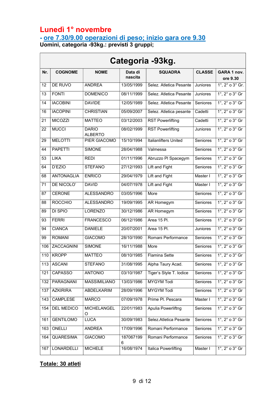## Lunedì 1° novembre

 $\mathcal{L}(\mathcal{L})$ 

### - ore 7.30/9.00 operazioni di peso; inizio gara ore 9.30

┑

Uomini, categoria -93kg.: previsti 3 gruppi;

| Categoria -93kg. |                   |                                |                    |                              |                 |                                       |  |  |
|------------------|-------------------|--------------------------------|--------------------|------------------------------|-----------------|---------------------------------------|--|--|
| Nr.              | <b>COGNOME</b>    | <b>NOME</b>                    | Data di<br>nascita | <b>SQUADRA</b>               | <b>CLASSE</b>   | GARA 1 nov.<br>ore 9.30               |  |  |
| 12               | <b>DE RUVO</b>    | <b>ANDREA</b>                  | 13/05/1999         | Selez. Atletica Pesante      | Juniores        | $1^\circ$ , $2^\circ$ o $3^\circ$ Gr. |  |  |
| 13               | <b>FONTI</b>      | <b>DOMENICO</b>                | 08/11/1999         | Selez. Atletica Pesante      | Juniores        | $1^\circ$ , $2^\circ$ o $3^\circ$ Gr  |  |  |
| 14               | <b>IACOBINI</b>   | <b>DAVIDE</b>                  | 12/05/1989         | Selez. Atletica Pesante      | Seniores        | $1^\circ$ , $2^\circ$ o $3^\circ$ Gr  |  |  |
| 16               | <b>IACOPINI</b>   | <b>CHRISTIAN</b>               | 05/09/2007         | Selez. Atletica pesante      | Cadetti         | $1^\circ$ , $2^\circ$ o $3^\circ$ Gr  |  |  |
| 21               | <b>MICOZZI</b>    | <b>MATTEO</b>                  | 03/12/2003         | <b>RST Powerlifting</b>      | Cadetti         | $1^\circ$ , $2^\circ$ o $3^\circ$ Gr  |  |  |
| 22               | <b>MUCCI</b>      | <b>DARIO</b><br><b>ALBERTO</b> | 08/02/1999         | <b>RST Powerlifting</b>      | Juniores        | $1^\circ$ , $2^\circ$ o $3^\circ$ Gr  |  |  |
| 29               | <b>MELOTTI</b>    | PIER GIACOMO                   | 15/10/1994         | <b>Italianlifters United</b> | Seniores        | $1^\circ$ , $2^\circ$ o $3^\circ$ Gr  |  |  |
| 44               | <b>PAPETTI</b>    | <b>SIMONE</b>                  | 28/04/1988         | Valmessa                     | <b>Seniores</b> | $1^\circ$ , $2^\circ$ o $3^\circ$ Gr  |  |  |
| 53               | <b>LIKA</b>       | <b>REDI</b>                    | 01/11/1996         | Abruzzo PI Spacegym          | <b>Seniores</b> | $1^\circ$ , $2^\circ$ o $3^\circ$ Gr  |  |  |
| 64               | D'EZIO            | <b>STEFANO</b>                 | 27/12/1993         | Lift and Fight               | Seniores        | $1^\circ$ , $2^\circ$ o $3^\circ$ Gr  |  |  |
| 68               | <b>ANTONAGLIA</b> | <b>ENRICO</b>                  | 29/04/1979         | Lift and Fight               | Master I        | 1°, 2° o 3° Gr                        |  |  |
| 71               | DE NICOLO'        | <b>DAVID</b>                   | 04/07/1978         | Lift and Fight               | Master I        | $1^\circ$ , $2^\circ$ o $3^\circ$ Gr  |  |  |
| 87               | CERONE            | <b>ALESSANDRO</b>              | 03/05/1996         | More                         | Seniores        | $1^\circ$ , $2^\circ$ o $3^\circ$ Gr  |  |  |
| 88               | <b>ROCCHIO</b>    | <b>ALESSANDRO</b>              | 19/09/1995         | AR Homegym                   | Seniores        | $1^\circ$ , $2^\circ$ o $3^\circ$ Gr  |  |  |
| 89               | DI SPIO           | <b>LORENZO</b>                 | 30/12/1986         | AR Homegym                   | Seniores        | $1^\circ$ , $2^\circ$ o $3^\circ$ Gr  |  |  |
| 93               | <b>FERRI</b>      | <b>FRANCESCO</b>               | 06/12/1986         | Area 15 Pl.                  | Seniores        | $1^\circ$ , $2^\circ$ o $3^\circ$ Gr  |  |  |
| 94               | <b>CIANCA</b>     | <b>DANIELE</b>                 | 20/07/2001         | Area 15 Pl.                  | Juniores        | $1^\circ$ , $2^\circ$ o $3^\circ$ Gr  |  |  |
| 99               | <b>ROMANI</b>     | <b>GIACOMO</b>                 | 28/10/1990         | Romani Performance           | <b>Seniores</b> | $1^\circ$ , $2^\circ$ o $3^\circ$ Gr  |  |  |
| 106              | ZACCAGNINI        | <b>SIMONE</b>                  | 16/11/1988         | More                         | Seniores        | $1^\circ$ , $2^\circ$ o $3^\circ$ Gr  |  |  |
| 110              | <b>KROPP</b>      | <b>MATTEO</b>                  | 08/10/1985         | Flamina Sette                | Seniores        | $1^\circ$ , $2^\circ$ o $3^\circ$ Gr  |  |  |
| 113              | <b>ASCANI</b>     | <b>STEFANO</b>                 | 31/08/1995         | Alpha Taury Acad.            | Seniores        | $1^\circ$ , $2^\circ$ o $3^\circ$ Gr  |  |  |
| 121              | CAPASSO           | <b>ANTONIO</b>                 | 03/10/1987         | Tiger's Style T. Iodice      | Seniores        | $1^\circ$ , $2^\circ$ o $3^\circ$ Gr  |  |  |
| 132              | PARAGNANI         | MASSIMILIANO                   | 13/03/1986         | <b>MYGYM Todi</b>            | Seniores        | $1^\circ$ , $2^\circ$ o $3^\circ$ Gr  |  |  |
| 137              | <b>AZKIRIRA</b>   | ABDELKARIM                     | 28/09/1996         | <b>MYGYM Todi</b>            | Seniores        | $1^\circ$ , $2^\circ$ o $3^\circ$ Gr  |  |  |
| 143              | CAMPLESE          | <b>MARCO</b>                   | 07/09/1978         | Prime PI. Pescara            | Master I        | $1^\circ$ , $2^\circ$ o $3^\circ$ Gr  |  |  |
| 154              | <b>DEL MEDICO</b> | MICHELANGEL<br>O               | 22/01/1983         | Apulia Powerliftng           | Seniores        | $1^\circ$ , $2^\circ$ o $3^\circ$ Gr  |  |  |
| 161              | <b>GENTILOMO</b>  | <b>LUCA</b>                    | 30/09/1983         | Selez.Atletica Pesante       | Seniores        | $1^\circ$ , $2^\circ$ o $3^\circ$ Gr  |  |  |
| 163              | ONELLI            | ANDREA                         | 17/09/1996         | Romani Performance           | Seniores        | $1^\circ$ , $2^\circ$ o $3^\circ$ Gr  |  |  |
| 164              | <b>QUARESIMA</b>  | <b>GIACOMO</b>                 | 187067199<br>6     | Romani Performance           | Seniores        | $1^\circ$ , $2^\circ$ o $3^\circ$ Gr  |  |  |
| 167              | LONARDELLI        | <b>MICHELE</b>                 | 16/08/1974         | Italica Powerlifting         | Master I        | $1^\circ$ , $2^\circ$ o $3^\circ$ Gr  |  |  |

#### Totale: 30 atleti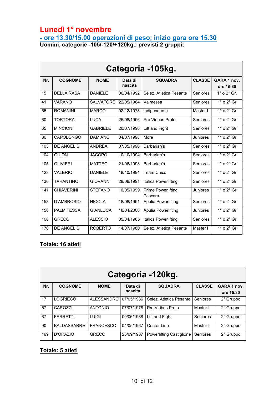### Lunedì 1° novembre

- ore 13.30/15.00 operazioni di peso; inizio gara ore 15.30

Uomini, categorie -105/-120/+120kg.: previsti 2 gruppi;

| Categoria -105kg. |                   |                  |                    |                                      |                 |                           |  |
|-------------------|-------------------|------------------|--------------------|--------------------------------------|-----------------|---------------------------|--|
| Nr.               | <b>COGNOME</b>    | <b>NOME</b>      | Data di<br>nascita | <b>SQUADRA</b>                       | <b>CLASSE</b>   | GARA 1 nov.<br>ore 15.30  |  |
| 15                | <b>DELLA RASA</b> | <b>DANIELE</b>   | 06/04/1992         | Selez. Atletica Pesante              | <b>Seniores</b> | $1^\circ$ o $2^\circ$ Gr. |  |
| 41                | <b>VARANO</b>     | <b>SALVATORE</b> | 22/05/1984         | Valmessa                             | <b>Seniores</b> | $1^\circ$ o $2^\circ$ Gr  |  |
| 55                | <b>ROMANINI</b>   | <b>MARCO</b>     | 02/12/1978         | indipendente                         | Master I        | $1^\circ$ o $2^\circ$ Gr  |  |
| 60                | <b>TORTORA</b>    | <b>LUCA</b>      | 25/08/1996         | Pro Viribus Prato                    | <b>Seniores</b> | $1^\circ$ o $2^\circ$ Gr  |  |
| 65                | <b>MINCIONI</b>   | <b>GABRIELE</b>  | 20/07/1990         | Lift and Fight                       | <b>Seniores</b> | $1^\circ$ o $2^\circ$ Gr  |  |
| 86                | <b>CAPOLONGO</b>  | <b>DAMIANO</b>   | 04/07/1998         | More                                 | <b>Juniores</b> | $1^\circ$ o $2^\circ$ Gr  |  |
| 103               | <b>DE ANGELIS</b> | <b>ANDRFA</b>    | 07/05/1996         | Barbarian's                          | Seniores        | $1^\circ$ o $2^\circ$ Gr  |  |
| 104               | <b>GUION</b>      | <b>JACOPO</b>    | 10/10/1994         | Barbarian's                          | <b>Seniores</b> | $1^\circ$ o $2^\circ$ Gr  |  |
| 105               | <b>OLIVIERI</b>   | <b>MATTEO</b>    | 21/06/1993         | Barbarian's                          | Seniores        | $1^\circ$ o $2^\circ$ Gr  |  |
| 123               | <b>VALERIO</b>    | <b>DANIELE</b>   | 18/10/1994         | Team Chico                           | Seniores        | $1^\circ$ o $2^\circ$ Gr  |  |
| 130               | <b>TARANTINO</b>  | <b>GIOVANNI</b>  | 28/08/1991         | <b>Italica Powerlifting</b>          | <b>Seniores</b> | $1^\circ$ o $2^\circ$ Gr  |  |
| 141               | <b>CHIAVERINI</b> | <b>STEFANO</b>   | 10/05/1999         | <b>Prime Powerlifting</b><br>Pescara | Juniores        | $1^\circ$ o $2^\circ$ Gr  |  |
| 153               | D'AMBROSIO        | <b>NICOLA</b>    | 18/08/1991         | <b>Apulia Powerlifting</b>           | Seniores        | $1^\circ$ o $2^\circ$ Gr  |  |
| 158               | <b>PALMITESSA</b> | <b>GIANLUCA</b>  | 18/04/2000         | <b>Apulia Powerlifting</b>           | Juniores        | $1^\circ$ o $2^\circ$ Gr  |  |
| 168               | <b>GRECO</b>      | <b>ALESSIO</b>   | 05/04/1985         | Italica Powerlifting                 | Seniores        | $1^\circ$ o $2^\circ$ Gr  |  |
| 170               | <b>DE ANGELIS</b> | <b>ROBERTO</b>   | 14/07/1980         | Selez. Atletica Pesante              | Master I        | $1^\circ$ o $2^\circ$ Gr  |  |

#### Totale: 16 atleti

| Categoria -120kg. |                     |                   |                    |                                 |               |                          |  |
|-------------------|---------------------|-------------------|--------------------|---------------------------------|---------------|--------------------------|--|
| Nr.               | <b>COGNOME</b>      | <b>NOME</b>       | Data di<br>nascita | <b>SQUADRA</b>                  | <b>CLASSE</b> | GARA 1 nov.<br>ore 15.30 |  |
| 17                | LOGRIECO            | <b>ALESSANDRO</b> | 07/05/1986         | Selez. Atletica Pesante         | Seniores      | 2° Gruppo                |  |
| 57                | CAROZZI             | <b>ANTONIO</b>    | 07/07/1978         | Pro Viribus Prato               | Master I      | 2° Gruppo                |  |
| 67                | <b>FERRETTI</b>     | LUIGI             | 09/06/1988         | Lift and Fight                  | Seniores      | 2° Gruppo                |  |
| 90                | <b>BAI DASSARRF</b> | <b>FRANCESCO</b>  | 04/05/1967         | Center Line                     | Master II     | 2° Gruppo                |  |
| 169               | D'ORAZIO            | <b>GRECO</b>      | 25/09/1987         | <b>Powerlifting Castiglione</b> | Seniores      | 2° Gruppo                |  |

#### Totale: 5 atleti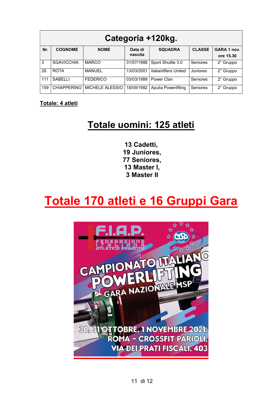| Categoria +120kg. |                    |                 |                    |                            |               |                          |  |
|-------------------|--------------------|-----------------|--------------------|----------------------------|---------------|--------------------------|--|
| Nr.               | <b>COGNOME</b>     | <b>NOME</b>     | Data di<br>nascita | <b>SQUADRA</b>             | <b>CLASSE</b> | GARA 1 nov.<br>ore 15.30 |  |
| 3                 | <b>SGAVICCHIA</b>  | <b>MARCO</b>    | 31/07/1988         | Sport Shuttle 3.0          | Seniores      | 2° Gruppo                |  |
| 28                | <b>ROTA</b>        | <b>MANUEL</b>   | 13/03/2001         | Italianlifters United      | Juniores      | 2° Gruppo                |  |
| 111               | <b>SABELLI</b>     | <b>FEDERICO</b> | 03/03/1988         | Power Clan                 | Seniores      | 2° Gruppo                |  |
| 159               | <b>CHIAPPERINO</b> | MICHELE ALESSIO | 18/09/1982         | <b>Apulia Powerlifting</b> | Seniores      | 2° Gruppo                |  |

Totale: 4 atleti

## Totale uomini: 125 atleti

13 Cadetti, 19 Juniores, 77 Seniores, 13 Master I, 3 Master II

## Totale 170 atleti e 16 Gruppi Gara